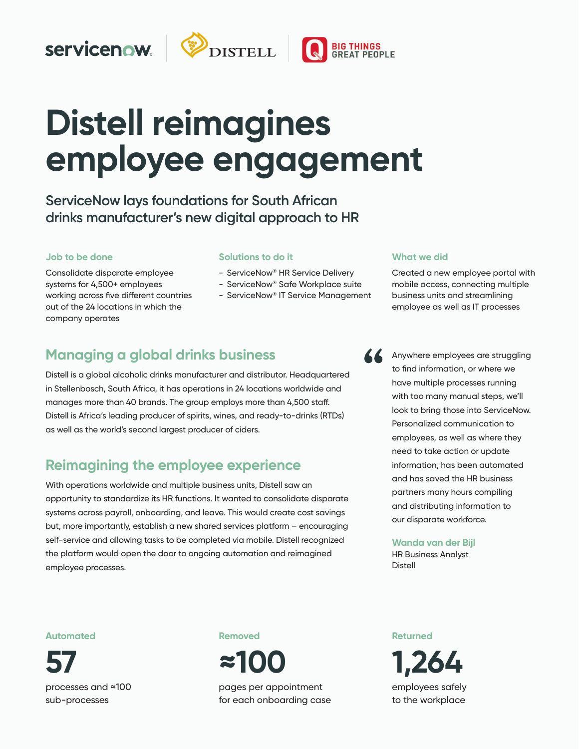# servicenow.



# **Distell reimagines** employee engagement

**When it impacts patient care. That's what Sanford Health ServiceNow lays foundations for South African**  drinks manufacturer's new digital approach to HR

#### **Job to be done Job to be done**

Consolidate disparate employee systems for 4,500+ employees working across five different countries out of the 24 locations in which the company operates

#### **Solutions to do it Solutions to do it**

- ServiceNow® HR Service Delivery
- ServiceNow® Safe Workplace suite
- ServiceNow® IT Service Management

## **Managing a global drinks business**

Distell is a global alcoholic drinks manufacturer and distributor. Headquartered in Stellenbosch, South Africa, it has operations in 24 locations worldwide and manages more than 40 brands. The group employs more than 4,500 staff. Distell is Africa's leading producer of spirits, wines, and ready-to-drinks (RTDs) as well as the world's second largest producer of ciders.

## **Reimagining the employee experience**

With operations worldwide and multiple business units, Distell saw an opportunity to standardize its HR functions. It wanted to consolidate disparate systems across payroll, onboarding, and leave. This would create cost savings but, more importantly, establish a new shared services platform – encouraging self-service and allowing tasks to be completed via mobile. Distell recognized the platform would open the door to ongoing automation and reimagined employee processes. The seamless experience when the seamless between departments, and the seamless of the seamless

#### **What we did What we did**

Created a new employee portal with mobile access, connecting multiple business units and streamlining employee as well as IT processes

Anywhere employees are struggling to find information, or where we have multiple processes running with too many manual steps, we'll **Darren Walker** Personalized communication to chief Harrison Company (1995) employees, as well as where they look to bring those into ServiceNow. need to take action or update information, has been automated and has saved the HR business partners many hours compiling and distributing information to our disparate workforce.

#### **Wanda van der Bijl**

HR Business Analyst Distell

#### **Now Automated**

**97%**  processes and ≈100 sub-processes **57** 

#### **Removed**



pages per appointment for each onboarding case **Returned** 

**16 1,264**  employees safely to the workplace